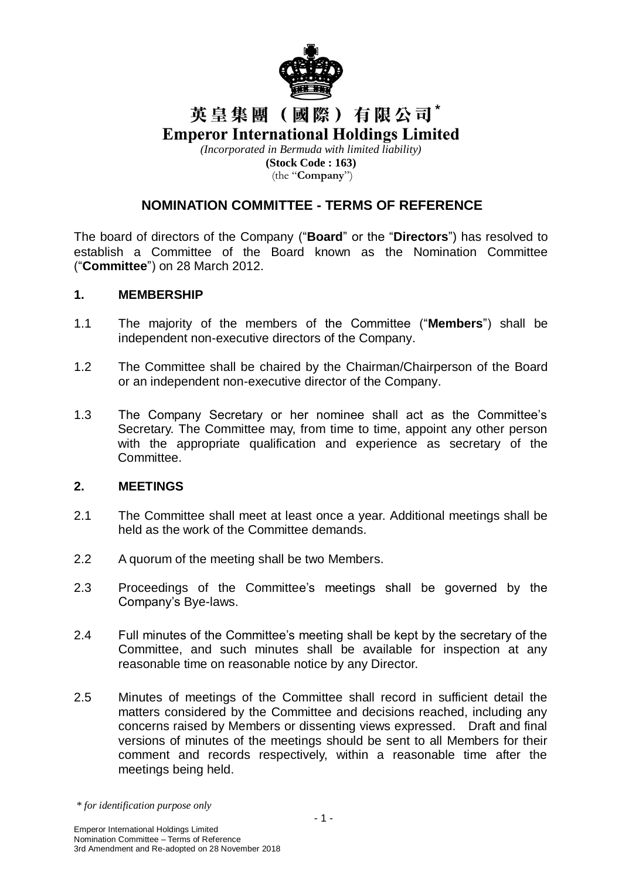

# 英皇集團(國際)有限公司\* **Emperor International Holdings Limited**

*(Incorporated in Bermuda with limited liability)* **(Stock Code : 163)** (the "**Company**")

# **NOMINATION COMMITTEE - TERMS OF REFERENCE**

The board of directors of the Company ("**Board**" or the "**Directors**") has resolved to establish a Committee of the Board known as the Nomination Committee ("**Committee**") on 28 March 2012.

#### **1. MEMBERSHIP**

- 1.1 The majority of the members of the Committee ("**Members**") shall be independent non-executive directors of the Company.
- 1.2 The Committee shall be chaired by the Chairman/Chairperson of the Board or an independent non-executive director of the Company.
- 1.3 The Company Secretary or her nominee shall act as the Committee's Secretary. The Committee may, from time to time, appoint any other person with the appropriate qualification and experience as secretary of the Committee.

### **2. MEETINGS**

- 2.1 The Committee shall meet at least once a year. Additional meetings shall be held as the work of the Committee demands.
- 2.2 A quorum of the meeting shall be two Members.
- 2.3 Proceedings of the Committee's meetings shall be governed by the Company's Bye-laws.
- 2.4 Full minutes of the Committee's meeting shall be kept by the secretary of the Committee, and such minutes shall be available for inspection at any reasonable time on reasonable notice by any Director.
- 2.5 Minutes of meetings of the Committee shall record in sufficient detail the matters considered by the Committee and decisions reached, including any concerns raised by Members or dissenting views expressed. Draft and final versions of minutes of the meetings should be sent to all Members for their comment and records respectively, within a reasonable time after the meetings being held.

*<sup>\*</sup> for identification purpose only*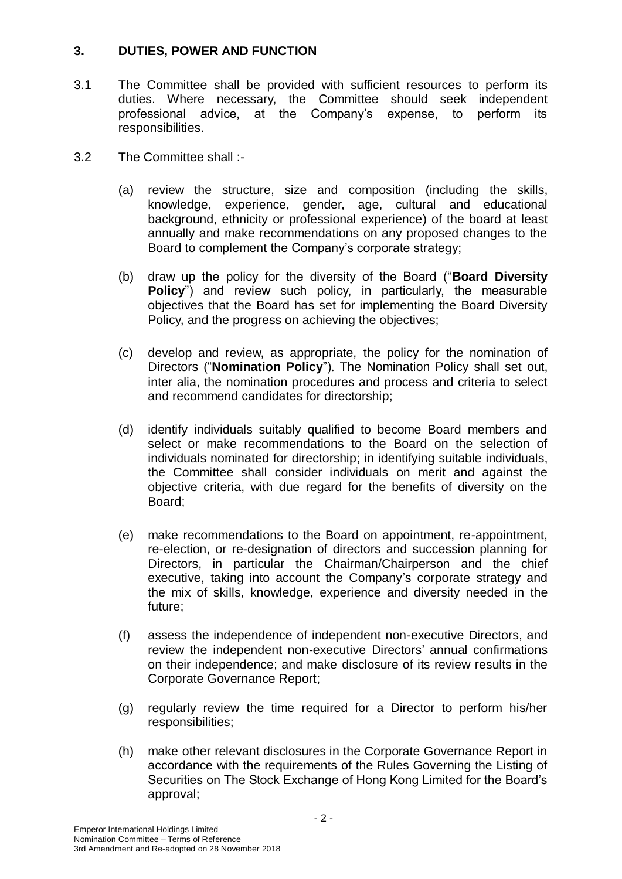# **3. DUTIES, POWER AND FUNCTION**

- 3.1 The Committee shall be provided with sufficient resources to perform its duties. Where necessary, the Committee should seek independent professional advice, at the Company's expense, to perform its responsibilities.
- 3.2 The Committee shall :-
	- (a) review the structure, size and composition (including the skills, knowledge, experience, gender, age, cultural and educational background, ethnicity or professional experience) of the board at least annually and make recommendations on any proposed changes to the Board to complement the Company's corporate strategy;
	- (b) draw up the policy for the diversity of the Board ("**Board Diversity Policy**") and review such policy, in particularly, the measurable objectives that the Board has set for implementing the Board Diversity Policy, and the progress on achieving the objectives;
	- (c) develop and review, as appropriate, the policy for the nomination of Directors ("**Nomination Policy**"). The Nomination Policy shall set out, inter alia, the nomination procedures and process and criteria to select and recommend candidates for directorship;
	- (d) identify individuals suitably qualified to become Board members and select or make recommendations to the Board on the selection of individuals nominated for directorship; in identifying suitable individuals, the Committee shall consider individuals on merit and against the objective criteria, with due regard for the benefits of diversity on the Board;
	- (e) make recommendations to the Board on appointment, re-appointment, re-election, or re-designation of directors and succession planning for Directors, in particular the Chairman/Chairperson and the chief executive, taking into account the Company's corporate strategy and the mix of skills, knowledge, experience and diversity needed in the future;
	- (f) assess the independence of independent non-executive Directors, and review the independent non-executive Directors' annual confirmations on their independence; and make disclosure of its review results in the Corporate Governance Report;
	- (g) regularly review the time required for a Director to perform his/her responsibilities;
	- (h) make other relevant disclosures in the Corporate Governance Report in accordance with the requirements of the Rules Governing the Listing of Securities on The Stock Exchange of Hong Kong Limited for the Board's approval;